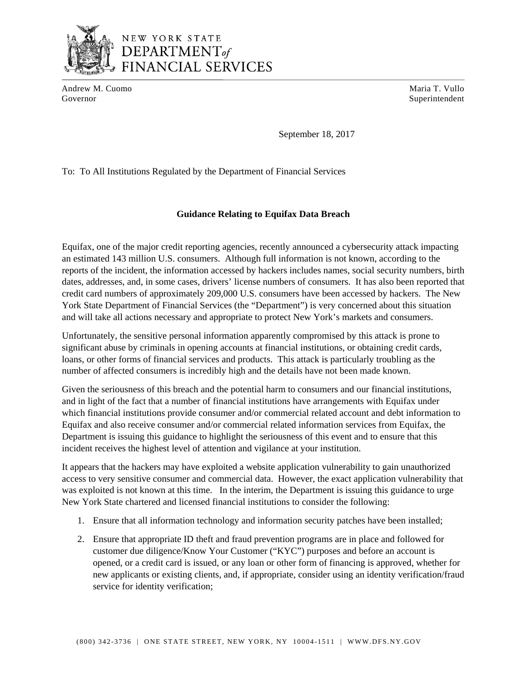

DEPARTMENT<sub>of</sub> **FINANCIAL SERVICES** 

Andrew M. Cuomo **Maria T. Vullo** Maria T. Vullo Governor Superintendent Superintendent Superintendent Superintendent Superintendent Superintendent Superintendent Superintendent Superintendent Superintendent Superintendent Superintendent Superintendent Superintendent Sup

September 18, 2017

To: To All Institutions Regulated by the Department of Financial Services

## **Guidance Relating to Equifax Data Breach**

Equifax, one of the major credit reporting agencies, recently announced a cybersecurity attack impacting an estimated 143 million U.S. consumers. Although full information is not known, according to the reports of the incident, the information accessed by hackers includes names, social security numbers, birth dates, addresses, and, in some cases, drivers' license numbers of consumers. It has also been reported that credit card numbers of approximately 209,000 U.S. consumers have been accessed by hackers. The New York State Department of Financial Services (the "Department") is very concerned about this situation and will take all actions necessary and appropriate to protect New York's markets and consumers.

Unfortunately, the sensitive personal information apparently compromised by this attack is prone to significant abuse by criminals in opening accounts at financial institutions, or obtaining credit cards, loans, or other forms of financial services and products. This attack is particularly troubling as the number of affected consumers is incredibly high and the details have not been made known.

Given the seriousness of this breach and the potential harm to consumers and our financial institutions, and in light of the fact that a number of financial institutions have arrangements with Equifax under which financial institutions provide consumer and/or commercial related account and debt information to Equifax and also receive consumer and/or commercial related information services from Equifax, the Department is issuing this guidance to highlight the seriousness of this event and to ensure that this incident receives the highest level of attention and vigilance at your institution.

It appears that the hackers may have exploited a website application vulnerability to gain unauthorized access to very sensitive consumer and commercial data. However, the exact application vulnerability that was exploited is not known at this time. In the interim, the Department is issuing this guidance to urge New York State chartered and licensed financial institutions to consider the following:

- 1. Ensure that all information technology and information security patches have been installed;
- 2. Ensure that appropriate ID theft and fraud prevention programs are in place and followed for customer due diligence/Know Your Customer ("KYC") purposes and before an account is opened, or a credit card is issued, or any loan or other form of financing is approved, whether for new applicants or existing clients, and, if appropriate, consider using an identity verification/fraud service for identity verification;